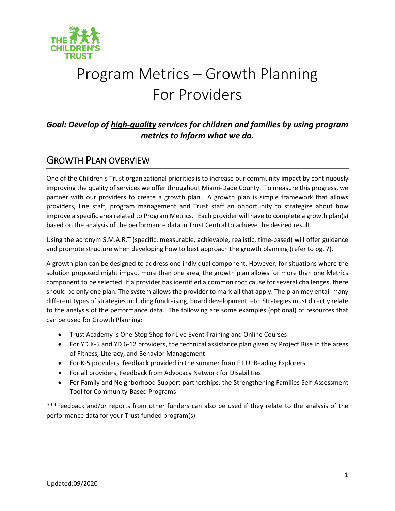

# Program Metrics – Growth Planning For Providers

### *Goal: Develop of high-quality services for children and families by using program metrics to inform what we do.*

## GROWTH PLAN OVERVIEW

One of the Children's Trust organizational priorities is to increase our community impact by continuously improving the quality of services we offer throughout Miami-Dade County. To measure this progress, we partner with our providers to create a growth plan. A growth plan is simple framework that allows providers, line staff, program management and Trust staff an opportunity to strategize about how improve a specific area related to Program Metrics. Each provider will have to complete a growth plan(s) based on the analysis of the performance data in Trust Central to achieve the desired result.

Using the acronym S.M.A.R.T (specific, measurable, achievable, realistic, time-based) will offer guidance and promote structure when developing how to best approach the growth planning (refer to pg. 7).

A growth plan can be designed to address one individual component. However, for situations where the solution proposed might impact more than one area, the growth plan allows for more than one Metrics component to be selected. If a provider has identified a common root cause for several challenges, there should be only one plan. The system allows the provider to mark all that apply. The plan may entail many different types of strategies including fundraising, board development, etc. Strategies must directly relate to the analysis of the performance data. The following are some examples (optional) of resources that can be used for Growth Planning:

- Trust Academy is One-Stop Shop for Live Event Training and Online Courses
- For YD K-5 and YD 6-12 providers, the technical assistance plan given by Project Rise in the areas of Fitness, Literacy, and Behavior Management
- For K-5 providers, feedback provided in the summer from F.I.U. Reading Explorers
- For all providers, Feedback from Advocacy Network for Disabilities
- For Family and Neighborhood Support partnerships, the Strengthening Families Self-Assessment Tool for Community-Based Programs

\*\*\*Feedback and/or reports from other funders can also be used if they relate to the analysis of the performance data for your Trust funded program(s).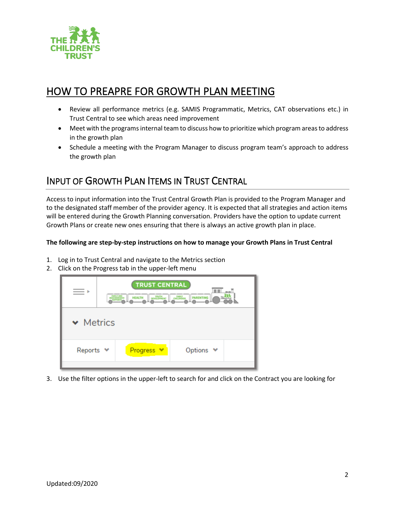

# HOW TO PREAPRE FOR GROWTH PLAN MEETING

- Review all performance metrics (e.g. SAMIS Programmatic, Metrics, CAT observations etc.) in Trust Central to see which areas need improvement
- Meet with the programs internal team to discuss how to prioritize which program areas to address in the growth plan
- Schedule a meeting with the Program Manager to discuss program team's approach to address the growth plan

# INPUT OF GROWTH PLAN ITEMS IN TRUST CENTRAL

Access to input information into the Trust Central Growth Plan is provided to the Program Manager and to the designated staff member of the provider agency. It is expected that all strategies and action items will be entered during the Growth Planning conversation. Providers have the option to update current Growth Plans or create new ones ensuring that there is always an active growth plan in place.

#### **The following are step-by-step instructions on how to manage your Growth Plans in Trust Central**

- 1. Log in to Trust Central and navigate to the Metrics section
- 2. Click on the Progress tab in the upper-left menu



3. Use the filter options in the upper-left to search for and click on the Contract you are looking for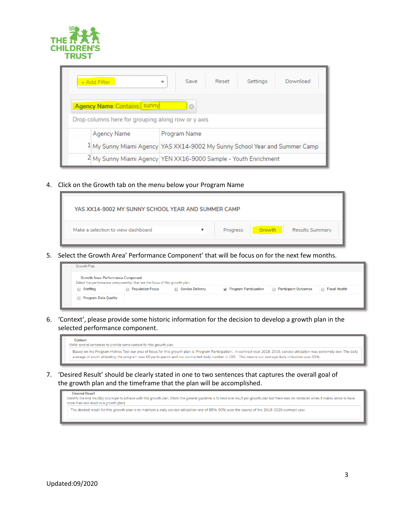

| Download<br>Reset<br>Save<br>+ Add Filter<br>Settings<br>▼                                         |                                                                            |  |  |  |  |
|----------------------------------------------------------------------------------------------------|----------------------------------------------------------------------------|--|--|--|--|
| <b>Agency Name Contains sunny</b><br>$\odot$<br>Drop columns here for grouping along row or y axis |                                                                            |  |  |  |  |
| Agency Name                                                                                        | Program Name                                                               |  |  |  |  |
|                                                                                                    | 1 My Sunny Miami Agency YAS XX14-9002 My Sunny School Year and Summer Camp |  |  |  |  |
|                                                                                                    | 2 My Sunny Miami Agency YEN XX16-9000 Sample - Youth Enrichment            |  |  |  |  |

4. Click on the Growth tab on the menu below your Program Name



5. Select the Growth Area' Performance Component' that will be focus on for the next few months.

| Growth Plan                                                                                                              |                  |                         |                       |                             |               |
|--------------------------------------------------------------------------------------------------------------------------|------------------|-------------------------|-----------------------|-----------------------------|---------------|
| <b>Growth Area: Performance Component</b><br>Select the performance component(s) that are the focus of this growth plan. |                  |                         |                       |                             |               |
| Staffing                                                                                                                 | Population Focus | <b>Service Delivery</b> | Program Participation | <b>Participant Outcomes</b> | Fiscal Health |
| <b>Program Data Quality</b>                                                                                              |                  |                         |                       |                             |               |

6. 'Context', please provide some historic information for the decision to develop a growth plan in the selected performance component.

| Context                                                               |                                                                                                                                                                                                                                                                                                                                           |
|-----------------------------------------------------------------------|-------------------------------------------------------------------------------------------------------------------------------------------------------------------------------------------------------------------------------------------------------------------------------------------------------------------------------------------|
| Write several sentences to provide some context for this growth plan. |                                                                                                                                                                                                                                                                                                                                           |
|                                                                       | Baaed on the Program Metrics Tool our area of focus for this growth plan is 'Program Participation'. In contract year 2018-2019, service utilization was extremely low. The daily<br>average of youth attending the program was 60 participants and our contracted daily number is 100. This means our average daily utilization was 60%. |

7. 'Desired Result' should be clearly stated in one to two sentences that captures the overall goal of the growth plan and the timeframe that the plan will be accomplished.

| <b>Desired Result</b><br>Identify the end result(s) you hope to achieve with this growth plan. (Note: the general guideline is to have one result per growth plan but there may be instances when it makes sense to have<br>more than one result in a growth plan) |  |
|--------------------------------------------------------------------------------------------------------------------------------------------------------------------------------------------------------------------------------------------------------------------|--|
| The desired result for this growth plan is to maintain a daily service utilization rate of 85%-90% over the course of the 2019-2020 contract year.                                                                                                                 |  |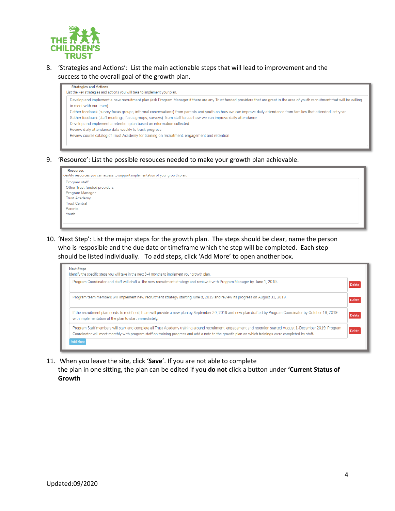

8. 'Strategies and Actions': List the main actionable steps that will lead to improvement and the success to the overall goal of the growth plan.

| Develop and implement a new recruitment plan (ask Program Manager if there are any Trust funded providers that are great in the area of youth recruitment that will be willing |
|--------------------------------------------------------------------------------------------------------------------------------------------------------------------------------|
| to meet with our team)                                                                                                                                                         |
| Gather feedback (survey focus groups, informal conversations) from parents and youth on how we can improve daily attendance from families that attended last year              |
| Gather feedback (staff meetings, focus groups, surveys) from staff to see how we can improve daily attendance                                                                  |
| Develop and implement a retention plan based on information collected                                                                                                          |
| Review daily attendance data weekly to track progress                                                                                                                          |
| Review course catalog of Trust Academy for training on recruitment, engagement and retention                                                                                   |

9. 'Resource': List the possible resouces needed to make your growth plan achievable.

|   | <b>Resources</b>                                                                 |  |  |  |  |
|---|----------------------------------------------------------------------------------|--|--|--|--|
|   | Identify resources you can access to support implementation of your growth plan. |  |  |  |  |
| ۰ | Program staff                                                                    |  |  |  |  |
|   | ı<br>Other Trust funded providers                                                |  |  |  |  |
|   | Program Manager                                                                  |  |  |  |  |
|   | <b>Trust Academy</b>                                                             |  |  |  |  |
|   | <b>Trust Central</b>                                                             |  |  |  |  |
|   | Parents                                                                          |  |  |  |  |
|   | Youth                                                                            |  |  |  |  |
|   |                                                                                  |  |  |  |  |

10. 'Next Step': List the major steps for the growth plan. The steps should be clear, name the person who is resposible and the due date or timeframe which the step will be completed. Each step should be listed individually. To add steps, click 'Add More' to open another box.



11. When you leave the site, click '**Save**'. If you are not able to complete

the plan in one sitting, the plan can be edited if you **do not** click a button under **'Current Status of Growth**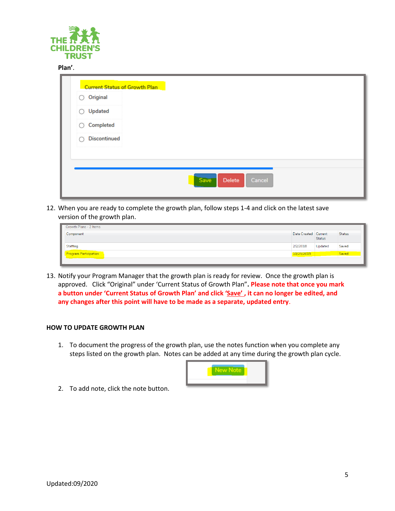

#### **Plan'**.

| Original<br>Ω            |  |  |  |
|--------------------------|--|--|--|
| <b>Updated</b><br>Ω      |  |  |  |
| Completed<br>∩           |  |  |  |
| <b>Discontinued</b><br>∩ |  |  |  |
|                          |  |  |  |
|                          |  |  |  |

12. When you are ready to complete the growth plan, follow steps 1-4 and click on the latest save version of the growth plan.

| Growth Plans - 2 Items                         |                      |               |               |
|------------------------------------------------|----------------------|---------------|---------------|
| Component                                      | Date Created Current | <b>Status</b> | <b>Status</b> |
| Staffing                                       | 2/2/2018             | Updated       | Saved         |
| Program Participation                          | 10/29/2019           |               | Saved         |
| <u> Desember 1989 - Station Barbara (d. 19</u> |                      |               |               |

13. Notify your Program Manager that the growth plan is ready for review. Once the growth plan is approved. Click "Original" under 'Current Status of Growth Plan"**. Please note that once you mark a button under 'Current Status of Growth Plan' and click 'Save' , it can no longer be edited, and any changes after this point will have to be made as a separate, updated entry**.

#### **HOW TO UPDATE GROWTH PLAN**

1. To document the progress of the growth plan, use the notes function when you complete any steps listed on the growth plan. Notes can be added at any time during the growth plan cycle.



2. To add note, click the note button.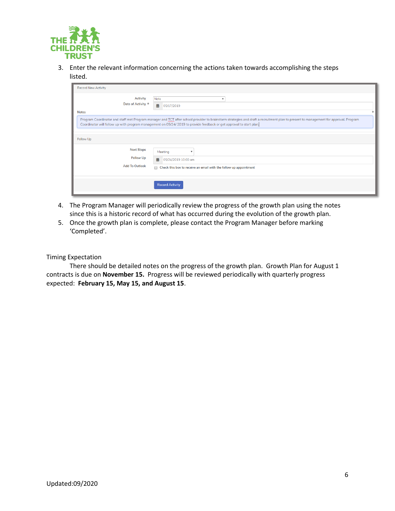

3. Enter the relevant information concerning the actions taken towards accomplishing the steps listed.

| <b>Record New Activity</b>                            |                                                                                                                                                                                                                                                                                                                                                        |  |  |  |
|-------------------------------------------------------|--------------------------------------------------------------------------------------------------------------------------------------------------------------------------------------------------------------------------------------------------------------------------------------------------------------------------------------------------------|--|--|--|
| <b>Activity</b><br>Date of Activity *<br><b>Notes</b> | Note<br>$\mathbf{v}$<br>曲<br>05/17/2019<br>Program Coordinator and staff met Program manager and TCT after school provider to brainstorm strategies and draft a recruitment plan to present to management for approval. Program<br>Coordinator will follow up with program management on 05/24/2019 to provide feedback or get approval to start plan. |  |  |  |
| Follow Up<br><b>Next Steps</b>                        |                                                                                                                                                                                                                                                                                                                                                        |  |  |  |
| <b>Follow Up</b><br><b>Add To Outlook</b>             | Meeting<br>曲<br>05/24/2019 10:00 am<br>Check this box to receive an email with the follow up appointment                                                                                                                                                                                                                                               |  |  |  |
|                                                       | <b>Record Activity</b>                                                                                                                                                                                                                                                                                                                                 |  |  |  |

- 4. The Program Manager will periodically review the progress of the growth plan using the notes since this is a historic record of what has occurred during the evolution of the growth plan.
- 5. Once the growth plan is complete, please contact the Program Manager before marking 'Completed'.

Timing Expectation

There should be detailed notes on the progress of the growth plan. Growth Plan for August 1 contracts is due on **November 15.** Progress will be reviewed periodically with quarterly progress expected: **February 15, May 15, and August 15**.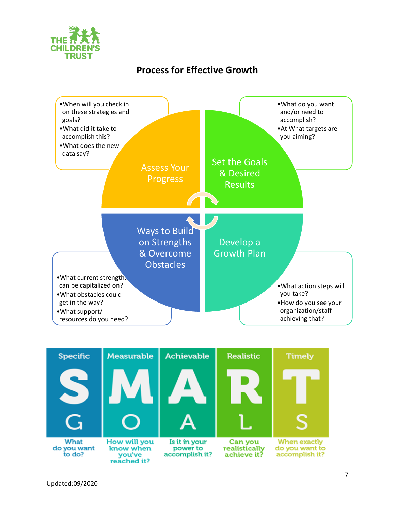

# **Process for Effective Growth**